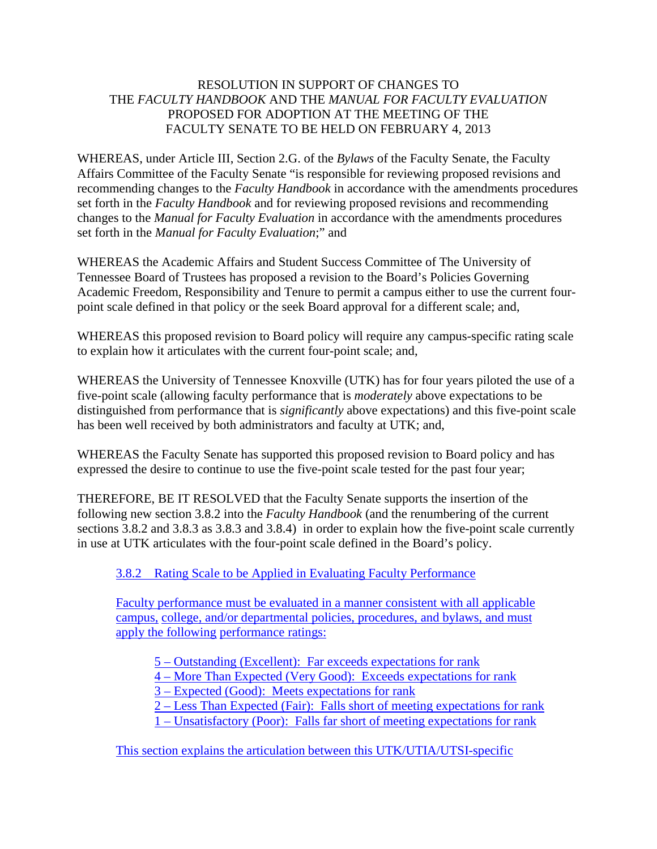## RESOLUTION IN SUPPORT OF CHANGES TO THE *FACULTY HANDBOOK* AND THE *MANUAL FOR FACULTY EVALUATION* PROPOSED FOR ADOPTION AT THE MEETING OF THE FACULTY SENATE TO BE HELD ON FEBRUARY 4, 2013

WHEREAS, under Article III, Section 2.G. of the *Bylaws* of the Faculty Senate, the Faculty Affairs Committee of the Faculty Senate "is responsible for reviewing proposed revisions and recommending changes to the *Faculty Handbook* in accordance with the amendments procedures set forth in the *Faculty Handbook* and for reviewing proposed revisions and recommending changes to the *Manual for Faculty Evaluation* in accordance with the amendments procedures set forth in the *Manual for Faculty Evaluation*;" and

WHEREAS the Academic Affairs and Student Success Committee of The University of Tennessee Board of Trustees has proposed a revision to the Board's Policies Governing Academic Freedom, Responsibility and Tenure to permit a campus either to use the current fourpoint scale defined in that policy or the seek Board approval for a different scale; and,

WHEREAS this proposed revision to Board policy will require any campus-specific rating scale to explain how it articulates with the current four-point scale; and,

WHEREAS the University of Tennessee Knoxville (UTK) has for four years piloted the use of a five-point scale (allowing faculty performance that is *moderately* above expectations to be distinguished from performance that is *significantly* above expectations) and this five-point scale has been well received by both administrators and faculty at UTK; and,

WHEREAS the Faculty Senate has supported this proposed revision to Board policy and has expressed the desire to continue to use the five-point scale tested for the past four year;

THEREFORE, BE IT RESOLVED that the Faculty Senate supports the insertion of the following new section 3.8.2 into the *Faculty Handbook* (and the renumbering of the current sections 3.8.2 and 3.8.3 as 3.8.3 and 3.8.4) in order to explain how the five-point scale currently in use at UTK articulates with the four-point scale defined in the Board's policy.

3.8.2 Rating Scale to be Applied in Evaluating Faculty Performance

Faculty performance must be evaluated in a manner consistent with all applicable campus, college, and/or departmental policies, procedures, and bylaws, and must apply the following performance ratings:

5 – Outstanding (Excellent): Far exceeds expectations for rank

4 – More Than Expected (Very Good): Exceeds expectations for rank

3 – Expected (Good): Meets expectations for rank

2 – Less Than Expected (Fair): Falls short of meeting expectations for rank

1 – Unsatisfactory (Poor): Falls far short of meeting expectations for rank

This section explains the articulation between this UTK/UTIA/UTSI-specific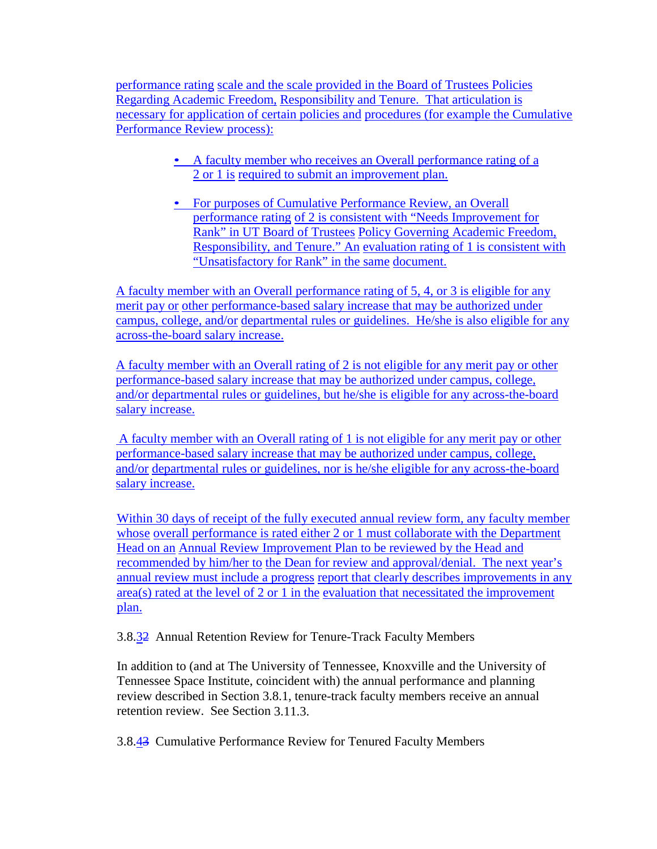performance rating scale and the scale provided in the Board of Trustees Policies Regarding Academic Freedom, Responsibility and Tenure. That articulation is necessary for application of certain policies and procedures (for example the Cumulative Performance Review process):

- A faculty member who receives an Overall performance rating of a 2 or 1 is required to submit an improvement plan.
- For purposes of Cumulative Performance Review, an Overall performance rating of 2 is consistent with "Needs Improvement for Rank" in UT Board of Trustees Policy Governing Academic Freedom, Responsibility, and Tenure." An evaluation rating of 1 is consistent with "Unsatisfactory for Rank" in the same document.

A faculty member with an Overall performance rating of 5, 4, or 3 is eligible for any merit pay or other performance-based salary increase that may be authorized under campus, college, and/or departmental rules or guidelines. He/she is also eligible for any across-the-board salary increase.

A faculty member with an Overall rating of 2 is not eligible for any merit pay or other performance-based salary increase that may be authorized under campus, college, and/or departmental rules or guidelines, but he/she is eligible for any across-the-board salary increase.

 A faculty member with an Overall rating of 1 is not eligible for any merit pay or other performance-based salary increase that may be authorized under campus, college, and/or departmental rules or guidelines, nor is he/she eligible for any across-the-board salary increase.

Within 30 days of receipt of the fully executed annual review form, any faculty member whose overall performance is rated either 2 or 1 must collaborate with the Department Head on an Annual Review Improvement Plan to be reviewed by the Head and recommended by him/her to the Dean for review and approval/denial. The next year's annual review must include a progress report that clearly describes improvements in any area(s) rated at the level of 2 or 1 in the evaluation that necessitated the improvement plan.

3.8.32 Annual Retention Review for Tenure-Track Faculty Members

In addition to (and at The University of Tennessee, Knoxville and the University of Tennessee Space Institute, coincident with) the annual performance and planning review described in Section 3.8.1, tenure-track faculty members receive an annual retention review. See Section 3.11.3.

3.8.43 Cumulative Performance Review for Tenured Faculty Members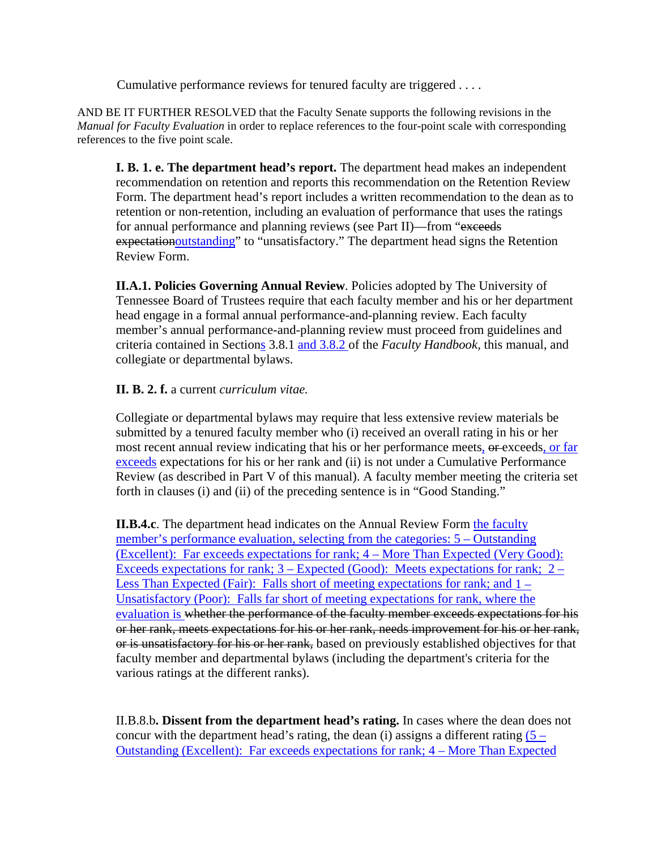Cumulative performance reviews for tenured faculty are triggered . . . .

AND BE IT FURTHER RESOLVED that the Faculty Senate supports the following revisions in the *Manual for Faculty Evaluation* in order to replace references to the four-point scale with corresponding references to the five point scale.

**I. B. 1. e. The department head's report.** The department head makes an independent recommendation on retention and reports this recommendation on the Retention Review Form. The department head's report includes a written recommendation to the dean as to retention or non-retention, including an evaluation of performance that uses the ratings for annual performance and planning reviews (see Part II)—from "exceeds" expectationoutstanding" to "unsatisfactory." The department head signs the Retention Review Form.

**II.A.1. Policies Governing Annual Review**. Policies adopted by The University of Tennessee Board of Trustees require that each faculty member and his or her department head engage in a formal annual performance-and-planning review. Each faculty member's annual performance-and-planning review must proceed from guidelines and criteria contained in Sections 3.8.1 and 3.8.2 of the *Faculty Handbook*, this manual, and collegiate or departmental bylaws.

## **II. B. 2. f.** a current *curriculum vitae.*

Collegiate or departmental bylaws may require that less extensive review materials be submitted by a tenured faculty member who (i) received an overall rating in his or her most recent annual review indicating that his or her performance meets, or exceeds, or far exceeds expectations for his or her rank and (ii) is not under a Cumulative Performance Review (as described in Part V of this manual). A faculty member meeting the criteria set forth in clauses (i) and (ii) of the preceding sentence is in "Good Standing."

**II.B.4.c**. The department head indicates on the Annual Review Form the faculty member's performance evaluation, selecting from the categories: 5 – Outstanding (Excellent): Far exceeds expectations for rank; 4 – More Than Expected (Very Good): Exceeds expectations for rank;  $3 -$  Expected (Good): Meets expectations for rank;  $2 -$ Less Than Expected (Fair): Falls short of meeting expectations for rank; and 1 – Unsatisfactory (Poor): Falls far short of meeting expectations for rank, where the evaluation is whether the performance of the faculty member exceeds expectations for his or her rank, meets expectations for his or her rank, needs improvement for his or her rank, or is unsatisfactory for his or her rank, based on previously established objectives for that faculty member and departmental bylaws (including the department's criteria for the various ratings at the different ranks).

II.B.8.b**. Dissent from the department head's rating.** In cases where the dean does not concur with the department head's rating, the dean (i) assigns a different rating  $(5 -$ Outstanding (Excellent): Far exceeds expectations for rank; 4 – More Than Expected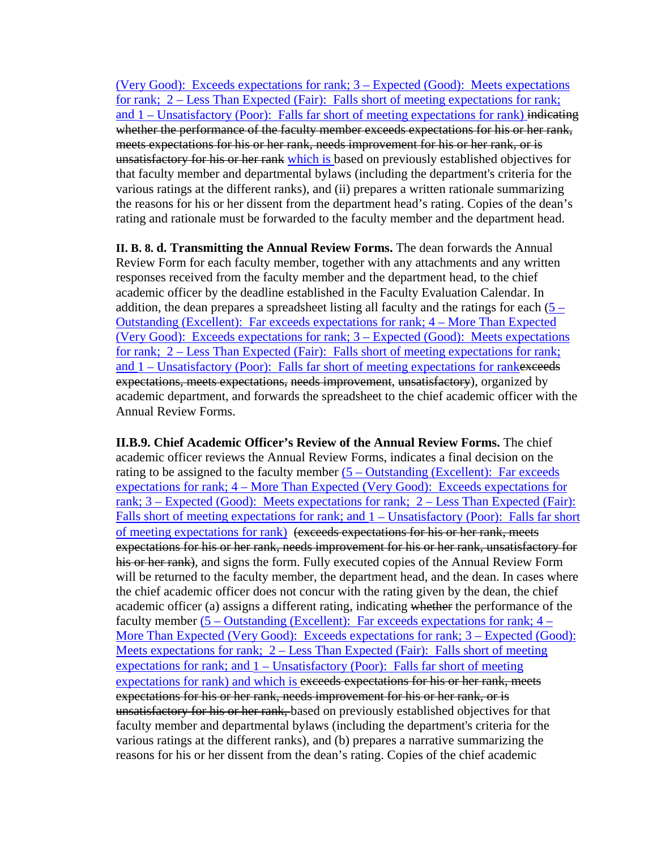(Very Good): Exceeds expectations for rank; 3 – Expected (Good): Meets expectations for rank; 2 – Less Than Expected (Fair): Falls short of meeting expectations for rank; and 1 – Unsatisfactory (Poor): Falls far short of meeting expectations for rank) indicating whether the performance of the faculty member exceeds expectations for his or her rank, meets expectations for his or her rank, needs improvement for his or her rank, or is unsatisfactory for his or her rank which is based on previously established objectives for that faculty member and departmental bylaws (including the department's criteria for the various ratings at the different ranks), and (ii) prepares a written rationale summarizing the reasons for his or her dissent from the department head's rating. Copies of the dean's rating and rationale must be forwarded to the faculty member and the department head.

**II. B. 8. d. Transmitting the Annual Review Forms.** The dean forwards the Annual Review Form for each faculty member, together with any attachments and any written responses received from the faculty member and the department head, to the chief academic officer by the deadline established in the Faculty Evaluation Calendar. In addition, the dean prepares a spreadsheet listing all faculty and the ratings for each  $(5 -$ Outstanding (Excellent): Far exceeds expectations for rank; 4 – More Than Expected (Very Good): Exceeds expectations for rank; 3 – Expected (Good): Meets expectations for rank; 2 – Less Than Expected (Fair): Falls short of meeting expectations for rank; and 1 – Unsatisfactory (Poor): Falls far short of meeting expectations for rankexceeds expectations, meets expectations, needs improvement, unsatisfactory), organized by academic department, and forwards the spreadsheet to the chief academic officer with the Annual Review Forms.

**II.B.9. Chief Academic Officer's Review of the Annual Review Forms.** The chief academic officer reviews the Annual Review Forms, indicates a final decision on the rating to be assigned to the faculty member  $(5 - Outstanding)$  (Excellent): Far exceeds expectations for rank; 4 – More Than Expected (Very Good): Exceeds expectations for rank; 3 – Expected (Good): Meets expectations for rank; 2 – Less Than Expected (Fair): Falls short of meeting expectations for rank; and  $1 -$ Unsatisfactory (Poor): Falls far short of meeting expectations for rank) (exceeds expectations for his or her rank, meets expectations for his or her rank, needs improvement for his or her rank, unsatisfactory for his or her rank), and signs the form. Fully executed copies of the Annual Review Form will be returned to the faculty member, the department head, and the dean. In cases where the chief academic officer does not concur with the rating given by the dean, the chief academic officer (a) assigns a different rating, indicating whether the performance of the faculty member (5 – Outstanding (Excellent): Far exceeds expectations for rank; 4 – More Than Expected (Very Good): Exceeds expectations for rank;  $3 -$  Expected (Good): Meets expectations for rank; 2 – Less Than Expected (Fair): Falls short of meeting expectations for rank; and 1 – Unsatisfactory (Poor): Falls far short of meeting expectations for rank) and which is exceeds expectations for his or her rank, meets expectations for his or her rank, needs improvement for his or her rank, or is unsatisfactory for his or her rank, based on previously established objectives for that faculty member and departmental bylaws (including the department's criteria for the various ratings at the different ranks), and (b) prepares a narrative summarizing the reasons for his or her dissent from the dean's rating. Copies of the chief academic